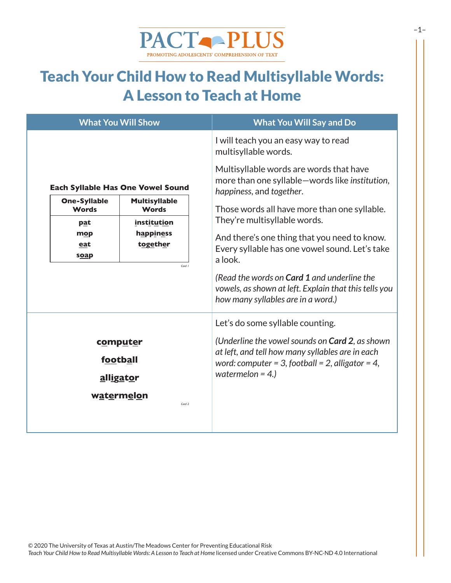

#### Teach Your Child How to Read Multisyllable Words: A Lesson to Teach at Home

| <b>What You Will Show</b>                |                                                                                                                                     | <b>What You Will Say and Do</b>                                                                                                                   |
|------------------------------------------|-------------------------------------------------------------------------------------------------------------------------------------|---------------------------------------------------------------------------------------------------------------------------------------------------|
| <b>Each Syllable Has One Vowel Sound</b> |                                                                                                                                     | I will teach you an easy way to read<br>multisyllable words.                                                                                      |
|                                          |                                                                                                                                     | Multisyllable words are words that have<br>more than one syllable-words like institution,<br>happiness, and together.                             |
| <b>Words</b><br><u>pat</u><br>mop        | <b>One-Syllable</b><br><b>Multisyllable</b><br><b>Words</b><br><i>institution</i><br>happiness<br>together<br>eat<br>soap<br>Card 1 | Those words all have more than one syllable.<br>They're multisyllable words.<br>And there's one thing that you need to know.                      |
|                                          |                                                                                                                                     | Every syllable has one vowel sound. Let's take<br>a look.                                                                                         |
|                                          |                                                                                                                                     | (Read the words on <b>Card 1</b> and underline the<br>vowels, as shown at left. Explain that this tells you<br>how many syllables are in a word.) |
|                                          |                                                                                                                                     | Let's do some syllable counting.                                                                                                                  |
| computer                                 |                                                                                                                                     | (Underline the vowel sounds on <b>Card 2</b> , as shown                                                                                           |
| football                                 |                                                                                                                                     | at left, and tell how many syllables are in each<br>word: computer = 3, football = 2, alligator = 4,<br>watermelon = $4.$ )                       |
| alligator                                |                                                                                                                                     |                                                                                                                                                   |
| watermelon<br>Card 2                     |                                                                                                                                     |                                                                                                                                                   |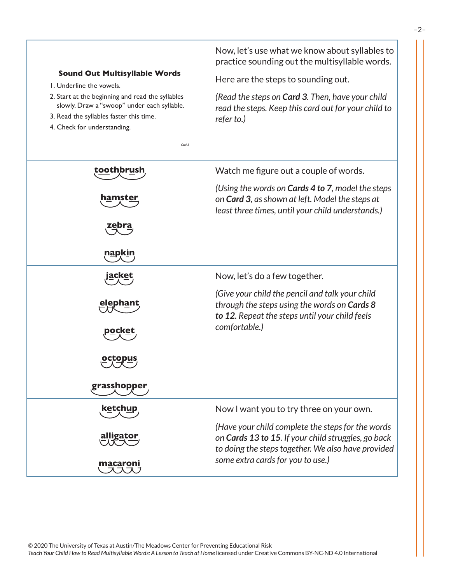| <b>Sound Out Multisyllable Words</b><br>L. Underline the vowels.<br>2. Start at the beginning and read the syllables<br>slowly. Draw a "swoop" under each syllable.<br>3. Read the syllables faster this time.<br>4. Check for understanding.<br>Card 3 | Now, let's use what we know about syllables to<br>practice sounding out the multisyllable words.<br>Here are the steps to sounding out.<br>(Read the steps on <b>Card 3.</b> Then, have your child<br>read the steps. Keep this card out for your child to<br>refer to.) |
|---------------------------------------------------------------------------------------------------------------------------------------------------------------------------------------------------------------------------------------------------------|--------------------------------------------------------------------------------------------------------------------------------------------------------------------------------------------------------------------------------------------------------------------------|
| toothbrush<br>hamster<br>napkin                                                                                                                                                                                                                         | Watch me figure out a couple of words.<br>(Using the words on <b>Cards 4 to 7</b> , model the steps<br>on Card 3, as shown at left. Model the steps at<br>least three times, until your child understands.)                                                              |
| <u>elephant</u><br>grasshopper                                                                                                                                                                                                                          | Now, let's do a few together.<br>(Give your child the pencil and talk your child<br>through the steps using the words on Cards 8<br>to 12. Repeat the steps until your child feels<br>comfortable.)                                                                      |
| ketchup<br><u>alligator</u><br>macaroni                                                                                                                                                                                                                 | Now I want you to try three on your own.<br>(Have your child complete the steps for the words<br>on Cards 13 to 15. If your child struggles, go back<br>to doing the steps together. We also have provided<br>some extra cards for you to use.)                          |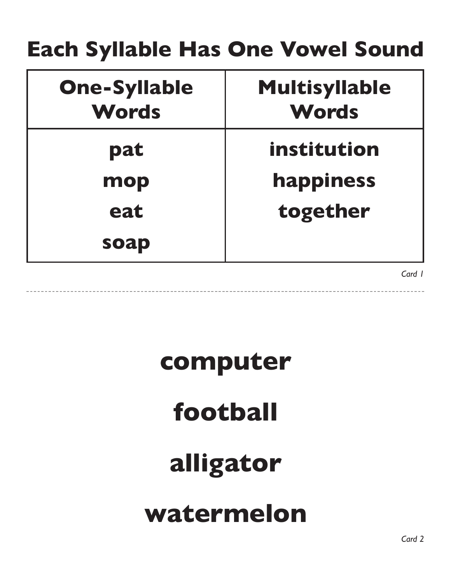#### **Each Syllable Has One Vowel Sound**

| <b>One-Syllable</b><br><b>Words</b> | <b>Multisyllable</b><br><b>Words</b> |
|-------------------------------------|--------------------------------------|
| pat                                 | institution                          |
| mop                                 | happiness                            |
| eat                                 | together                             |
| soap                                |                                      |

*Card 1*

#### **computer**

#### **football**

#### **alligator**

#### **watermelon**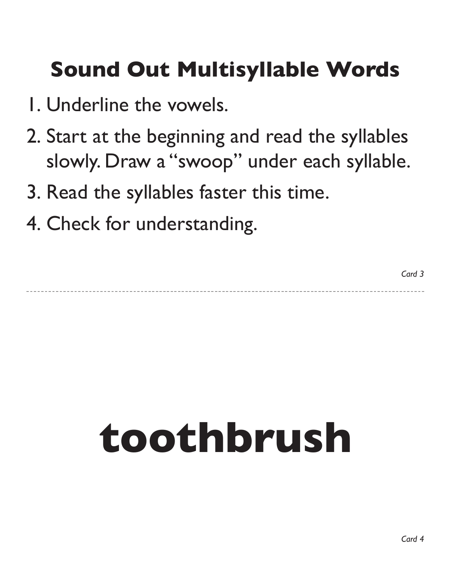#### **Sound Out Multisyllable Words**

- 1. Underline the vowels.
- 2. Start at the beginning and read the syllables slowly. Draw a "swoop" under each syllable.
- 3. Read the syllables faster this time.
- 4. Check for understanding.

## **toothbrush**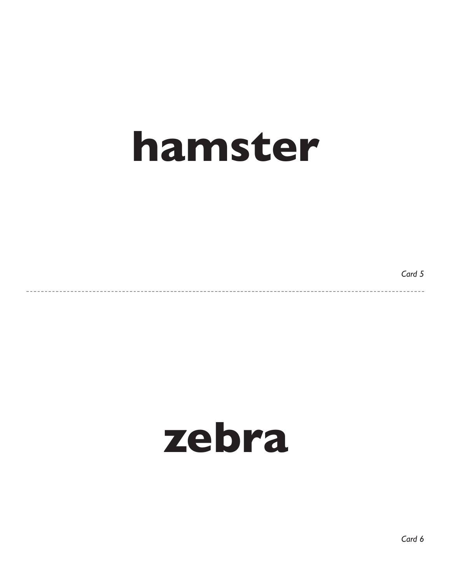### **hamster**

*Card 5*

 $- - - - -$ 

#### **zebra**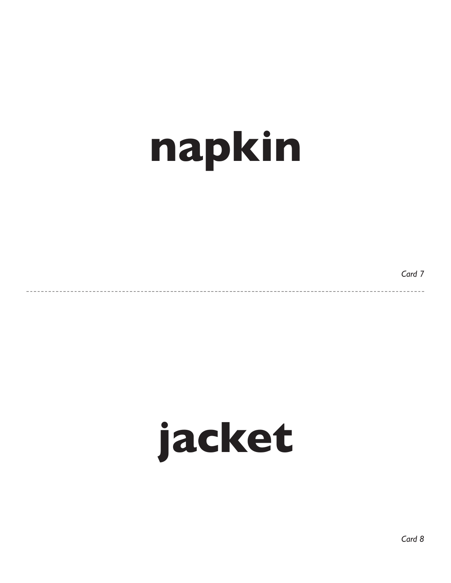## **napkin**

*Card 7*

 $- - - -$ 

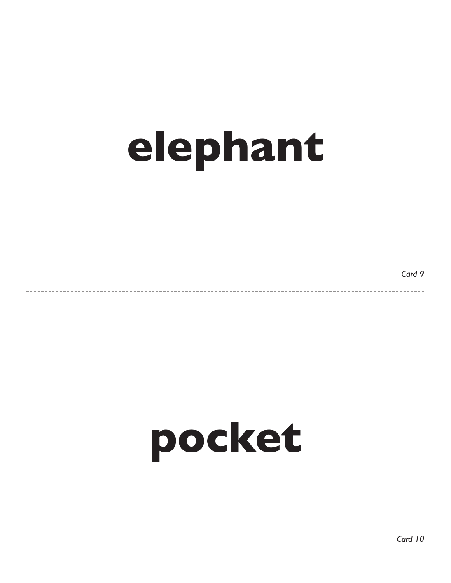## **elephant**

*Card 9*

 $- - - -$ 

## **pocket**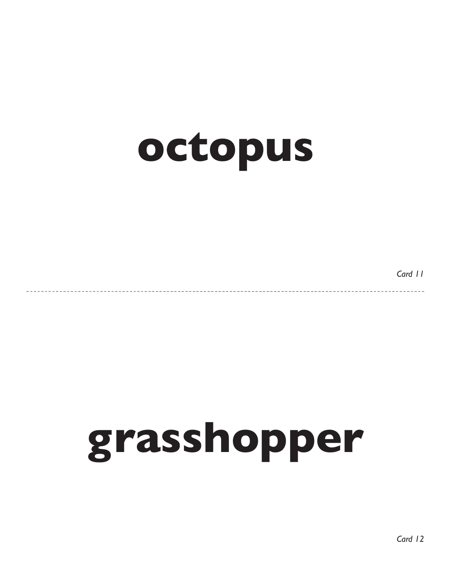### **octopus**

*Card 11*

## **grasshopper**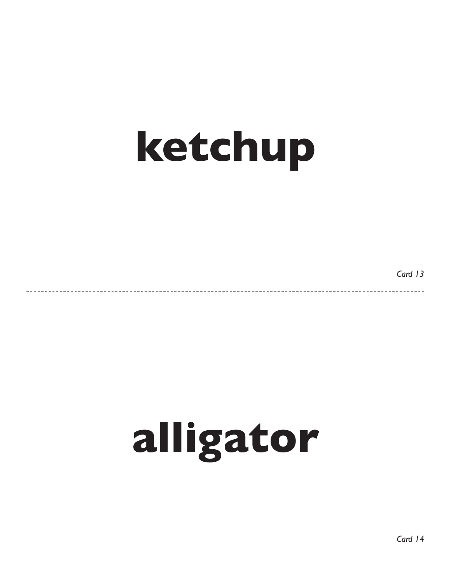## **ketchup**

*Card 13*

 $- - - - -$ 

## **alligator**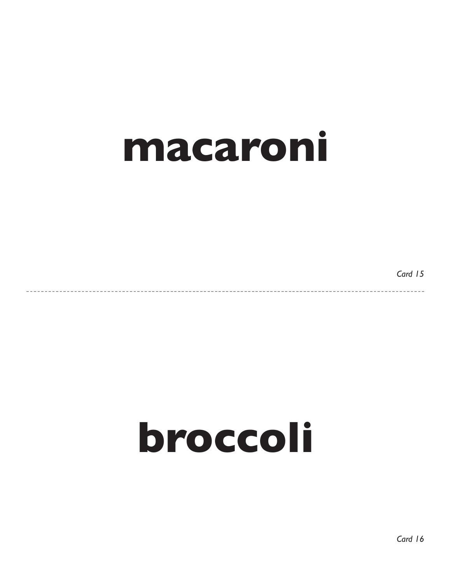

*Card 15*

 $\frac{1}{2}$ 

### **broccoli**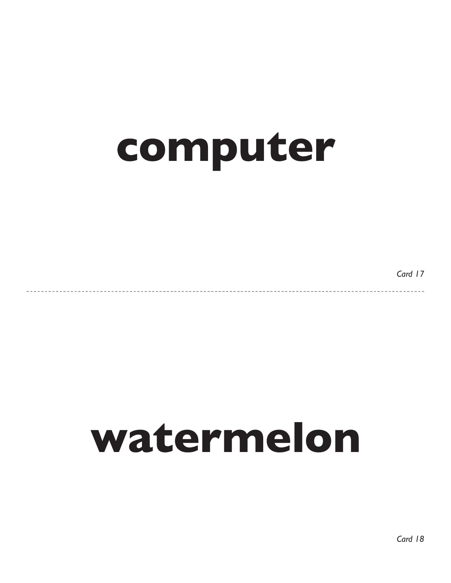## **computer**

*Card 17*

### **watermelon**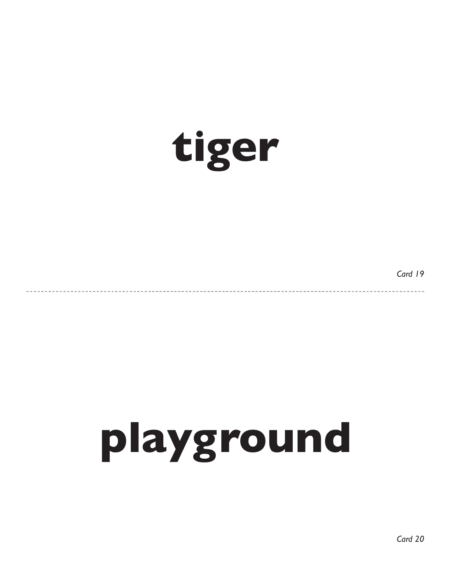

*Card 19*

-------

-----------

# **playground**